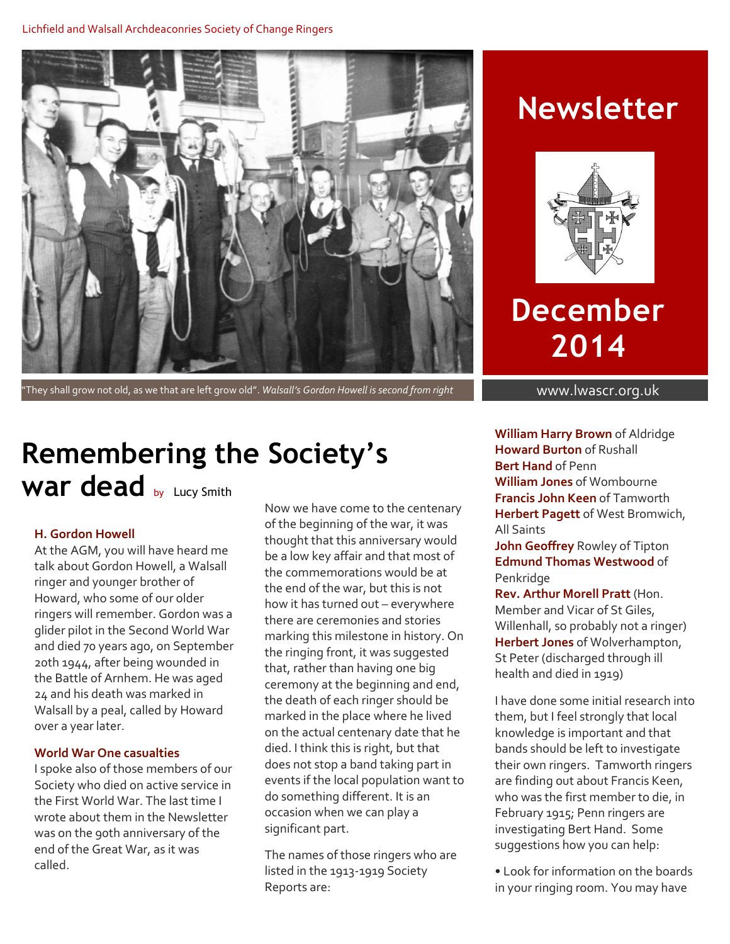

"They shall grow not old, as we that are left grow old". *Walsall's Gordon Howell is second from right* www.lwascr.org.uk

## **Newsletter**



# **December 2014**

## **Remembering the Society's**  War dead **by Lucy Smith**

### **H. Gordon Howell**

At the AGM, you will have heard me talk about Gordon Howell, a Walsall ringer and younger brother of Howard, who some of our older ringers will remember. Gordon was a glider pilot in the Second World War and died 70 years ago, on September 20th 1944, after being wounded in the Battle of Arnhem. He was aged 24 and his death was marked in Walsall by a peal, called by Howard over a year later.

### **World War One casualties**

I spoke also of those members of our Society who died on active service in the First World War. The last time I wrote about them in the Newsletter was on the 90th anniversary of the end of the Great War, as it was called.

Now we have come to the centenary of the beginning of the war, it was thought that this anniversary would be a low key affair and that most of the commemorations would be at the end of the war, but this is not how it has turned out – everywhere there are ceremonies and stories marking this milestone in history. On the ringing front, it was suggested that, rather than having one big ceremony at the beginning and end, the death of each ringer should be marked in the place where he lived on the actual centenary date that he died. I think this is right, but that does not stop a band taking part in events if the local population want to do something different. It is an occasion when we can play a significant part.

The names of those ringers who are listed in the 1913-1919 Society Reports are:

**William Harry Brown** of Aldridge **Howard Burton** of Rushall **Bert Hand** of Penn **William Jones** of Wombourne **Francis John Keen** of Tamworth **Herbert Pagett** of West Bromwich, All Saints

**John Geoffrey** Rowley of Tipton **Edmund Thomas Westwood** of Penkridge

**Rev. Arthur Morell Pratt** (Hon. Member and Vicar of St Giles, Willenhall, so probably not a ringer) **Herbert Jones** of Wolverhampton, St Peter (discharged through ill health and died in 1919)

I have done some initial research into them, but I feel strongly that local knowledge is important and that bands should be left to investigate their own ringers. Tamworth ringers are finding out about Francis Keen, who was the first member to die, in February 1915; Penn ringers are investigating Bert Hand. Some suggestions how you can help:

• Look for information on the boards in your ringing room. You may have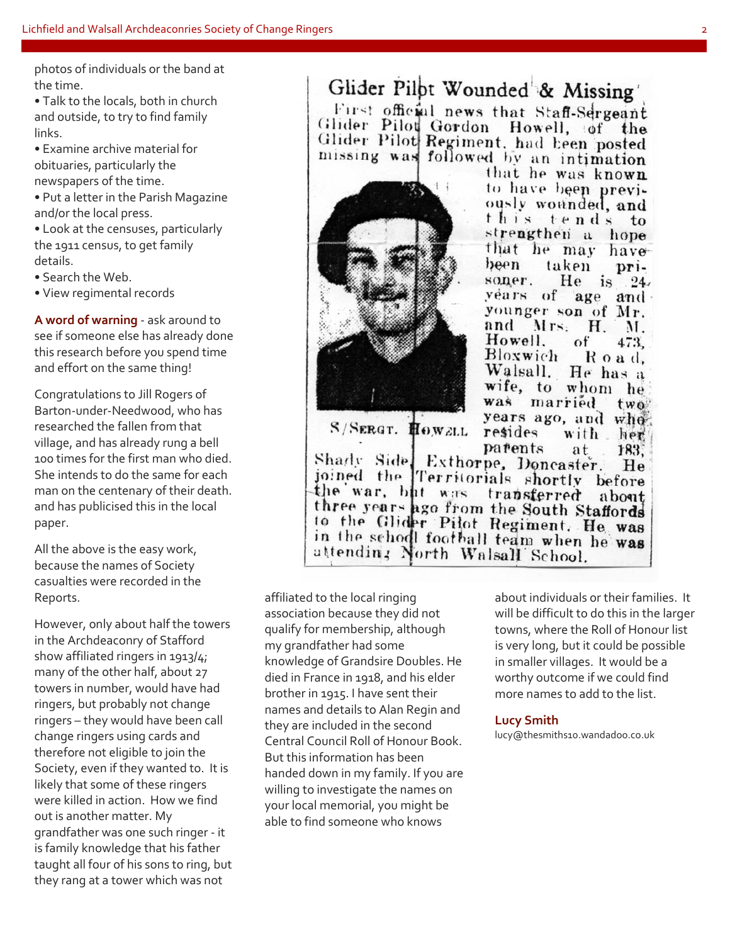photos of individuals or the band at the time.

• Talk to the locals, both in church and outside, to try to find family links.

• Examine archive material for obituaries, particularly the newspapers of the time.

• Put a letter in the Parish Magazine and/or the local press.

• Look at the censuses, particularly the 1911 census, to get family details.

• Search the Web.

• View regimental records

**A word of warning** - ask around to see if someone else has already done this research before you spend time and effort on the same thing!

Congratulations to Jill Rogers of Barton-under-Needwood, who has researched the fallen from that village, and has already rung a bell 100 times for the first man who died. She intends to do the same for each man on the centenary of their death. and has publicised this in the local paper.

All the above is the easy work, because the names of Society casualties were recorded in the Reports.

However, only about half the towers in the Archdeaconry of Stafford show affiliated ringers in 1913/4; many of the other half, about 27 towers in number, would have had ringers, but probably not change ringers – they would have been call change ringers using cards and therefore not eligible to join the Society, even if they wanted to. It is likely that some of these ringers were killed in action. How we find out is another matter. My grandfather was one such ringer - it is family knowledge that his father taught all four of his sons to ring, but they rang at a tower which was not

#### Glider Pilpt Wounded & Missing First official news that Staff-Sergeant Glider Pilot Gordon Howell, of the Glider Pilot Regiment, had been posted missing was followed by an intimation



S/SERGT. HOWELL

that he was known to have been previously wounded, and this tends to strengthen a hope that he may have taken been  $DPI-$ He is. soner.  $24.7$ years of age and younger son of Mr. and Mrs.  $H_{\cdot}$  $M_{\odot}$ Howell. of 473. Bloxwich Road. Walsall. He has a wife, to whom he was married two years ago, and when resides with her parents at 183.

Shady Side Exthorpe, Doncaster. He joined the Territorials shortly before the war, but was transferred about three years ago from the South Staffords to the Glider Pilot Regiment. He was in the school football team when he was attending North Walsall School.

affiliated to the local ringing association because they did not qualify for membership, although my grandfather had some knowledge of Grandsire Doubles. He died in France in 1918, and his elder brother in 1915. I have sent their names and details to Alan Regin and they are included in the second Central Council Roll of Honour Book. But this information has been handed down in my family. If you are willing to investigate the names on your local memorial, you might be able to find someone who knows

about individuals or their families. It will be difficult to do this in the larger towns, where the Roll of Honour list is very long, but it could be possible in smaller villages. It would be a worthy outcome if we could find more names to add to the list.

### **Lucy Smith**

lucy@thesmiths10.wandadoo.co.uk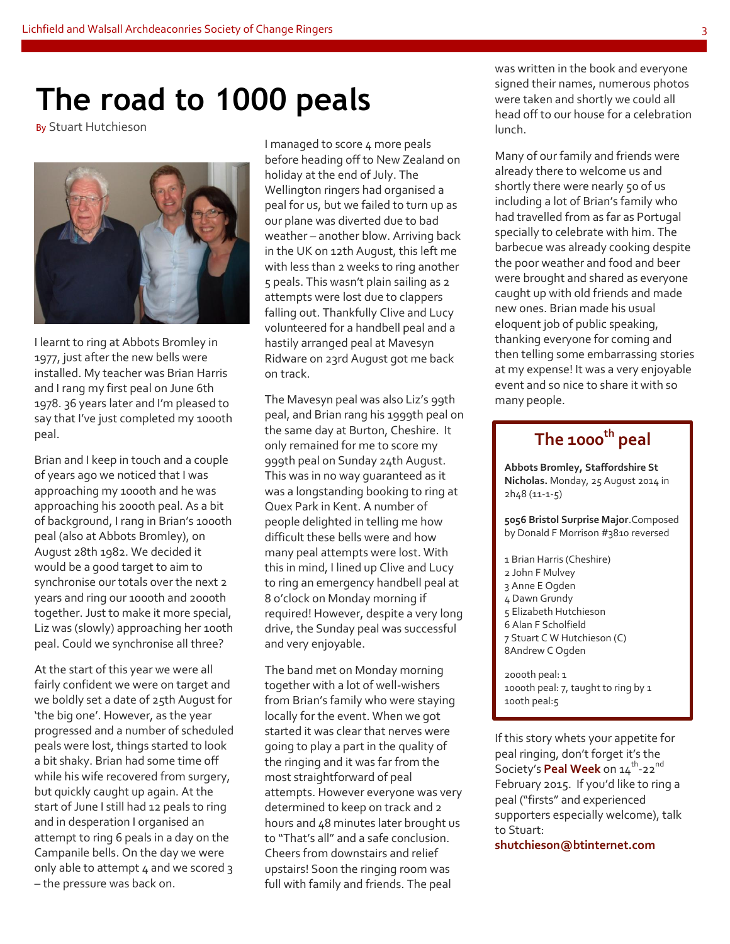# **The road to 1000 peals**

By Stuart Hutchieson



I learnt to ring at Abbots Bromley in 1977, just after the new bells were installed. My teacher was Brian Harris and I rang my first peal on June 6th 1978. 36 years later and I'm pleased to say that I've just completed my 1000th peal.

Brian and I keep in touch and a couple of years ago we noticed that I was approaching my 1000th and he was approaching his 2000th peal. As a bit of background, I rang in Brian's 1000th peal (also at Abbots Bromley), on August 28th 1982. We decided it would be a good target to aim to synchronise our totals over the next 2 years and ring our 1000th and 2000th together. Just to make it more special, Liz was (slowly) approaching her 100th peal. Could we synchronise all three?

At the start of this year we were all fairly confident we were on target and we boldly set a date of 25th August for 'the big one'. However, as the year progressed and a number of scheduled peals were lost, things started to look a bit shaky. Brian had some time off while his wife recovered from surgery, but quickly caught up again. At the start of June I still had 12 peals to ring and in desperation I organised an attempt to ring 6 peals in a day on the Campanile bells. On the day we were only able to attempt 4 and we scored 3 – the pressure was back on.

I managed to score 4 more peals before heading off to New Zealand on holiday at the end of July. The Wellington ringers had organised a peal for us, but we failed to turn up as our plane was diverted due to bad weather – another blow. Arriving back in the UK on 12th August, this left me with less than 2 weeks to ring another 5 peals. This wasn't plain sailing as 2 attempts were lost due to clappers falling out. Thankfully Clive and Lucy volunteered for a handbell peal and a hastily arranged peal at Mavesyn Ridware on 23rd August got me back on track.

The Mavesyn peal was also Liz's 99th peal, and Brian rang his 1999th peal on the same day at Burton, Cheshire. It only remained for me to score my 999th peal on Sunday 24th August. This was in no way guaranteed as it was a longstanding booking to ring at Quex Park in Kent. A number of people delighted in telling me how difficult these bells were and how many peal attempts were lost. With this in mind, I lined up Clive and Lucy to ring an emergency handbell peal at 8 o'clock on Monday morning if required! However, despite a very long drive, the Sunday peal was successful and very enjoyable.

The band met on Monday morning together with a lot of well-wishers from Brian's family who were staying locally for the event. When we got started it was clear that nerves were going to play a part in the quality of the ringing and it was far from the most straightforward of peal attempts. However everyone was very determined to keep on track and 2 hours and 48 minutes later brought us to "That's all" and a safe conclusion. Cheers from downstairs and relief upstairs! Soon the ringing room was full with family and friends. The peal

was written in the book and everyone signed their names, numerous photos were taken and shortly we could all head off to our house for a celebration lunch.

Many of our family and friends were already there to welcome us and shortly there were nearly 50 of us including a lot of Brian's family who had travelled from as far as Portugal specially to celebrate with him. The barbecue was already cooking despite the poor weather and food and beer were brought and shared as everyone caught up with old friends and made new ones. Brian made his usual eloquent job of public speaking, thanking everyone for coming and then telling some embarrassing stories at my expense! It was a very enjoyable event and so nice to share it with so many people.

### **The 1000th peal**

**Abbots Bromley, Staffordshire St Nicholas.** Monday, 25 August 2014 in 2h48 (11-1-5)

**5056 Bristol Surprise Major**.Composed by Donald F Morrison #3810 reversed

 Brian Harris (Cheshire) John F Mulvey Anne E Ogden Dawn Grundy 5 Elizabeth Hutchieson Alan F Scholfield Stuart C W Hutchieson (C) 8Andrew C Ogden

2000th peal: 1 1000th peal: 7, taught to ring by 1 100th peal:5

If this story whets your appetite for peal ringing, don't forget it's the Society's Peal Week on 14<sup>th</sup>-22<sup>nd</sup> February 2015. If you'd like to ring a peal ("firsts" and experienced supporters especially welcome), talk to Stuart:

**shutchieson@btinternet.com**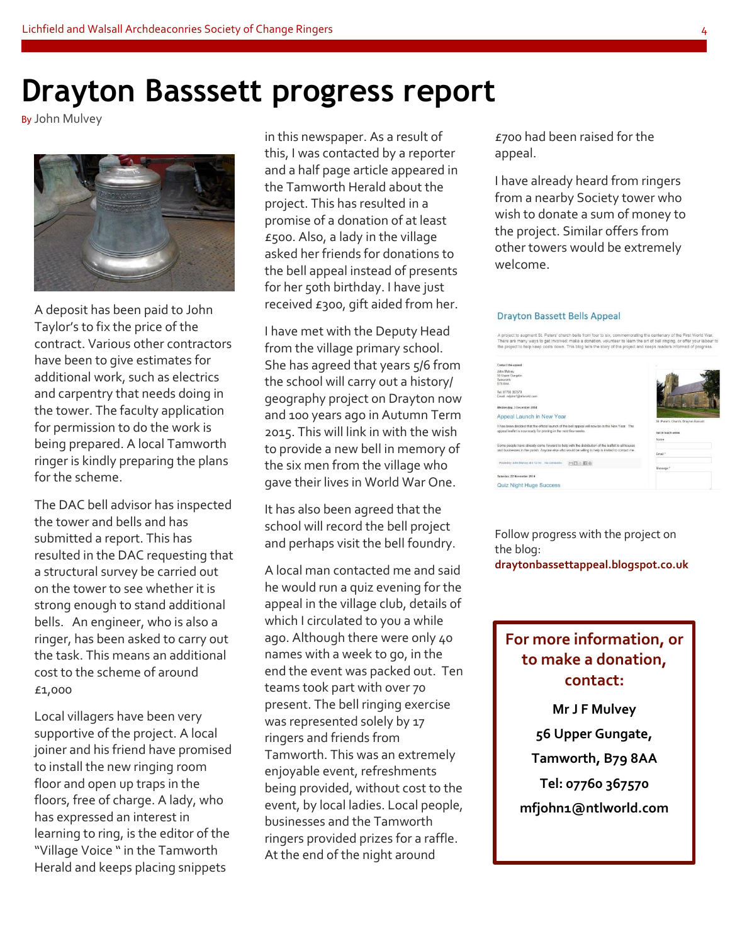## **Drayton Basssett progress report**

By John Mulvey



A deposit has been paid to John Taylor's to fix the price of the contract. Various other contractors have been to give estimates for additional work, such as electrics and carpentry that needs doing in the tower. The faculty application for permission to do the work is being prepared. A local Tamworth ringer is kindly preparing the plans for the scheme.

The DAC bell advisor has inspected the tower and bells and has submitted a report. This has resulted in the DAC requesting that a structural survey be carried out on the tower to see whether it is strong enough to stand additional bells. An engineer, who is also a ringer, has been asked to carry out the task. This means an additional cost to the scheme of around £1,000

Local villagers have been very supportive of the project. A local joiner and his friend have promised to install the new ringing room floor and open up traps in the floors, free of charge. A lady, who has expressed an interest in learning to ring, is the editor of the "Village Voice " in the Tamworth Herald and keeps placing snippets

in this newspaper. As a result of this, I was contacted by a reporter and a half page article appeared in the Tamworth Herald about the project. This has resulted in a promise of a donation of at least £500. Also, a lady in the village asked her friends for donations to the bell appeal instead of presents for her 50th birthday. I have just received £300, gift aided from her.

I have met with the Deputy Head from the village primary school. She has agreed that years 5/6 from the school will carry out a history/ geography project on Drayton now and 100 years ago in Autumn Term 2015. This will link in with the wish to provide a new bell in memory of the six men from the village who gave their lives in World War One.

It has also been agreed that the school will record the bell project and perhaps visit the bell foundry.

A local man contacted me and said he would run a quiz evening for the appeal in the village club, details of which I circulated to you a while ago. Although there were only 40 names with a week to go, in the end the event was packed out. Ten teams took part with over 70 present. The bell ringing exercise was represented solely by 17 ringers and friends from Tamworth. This was an extremely enjoyable event, refreshments being provided, without cost to the event, by local ladies. Local people, businesses and the Tamworth ringers provided prizes for a raffle. At the end of the night around

£700 had been raised for the appeal.

I have already heard from ringers from a nearby Society tower who wish to donate a sum of money to the project. Similar offers from other towers would be extremely welcome.

#### **Drayton Bassett Bells Appeal**

A project to augment St. Peters' church bells from four to six, commemorating the centenary of the First World<br>There are many ways to get involved: make a donation, volunteer to learn the art of bell ringing, or offer your

| Contact the appeal                                                                                |                                     |
|---------------------------------------------------------------------------------------------------|-------------------------------------|
| John Mulvey<br>56 Upper Gungate                                                                   |                                     |
| Tamworth                                                                                          |                                     |
| R79 SAA                                                                                           |                                     |
| Tel: 07760 367670                                                                                 |                                     |
| Email: mfichn1@ntlworld.com                                                                       |                                     |
|                                                                                                   |                                     |
| Wednesday, 3 December 2014                                                                        |                                     |
| Appeal Launch in New Year                                                                         |                                     |
|                                                                                                   | St. Peter's Church, Drayton Bassett |
| It has been decided that the official launch of the bell appeal will now be in the New Year. The  |                                     |
| appeal leaflet is now ready for printing in the next few weeks.                                   | Get in touch online                 |
|                                                                                                   | Name                                |
| Some people have already come forward to help with the distribution of the leaflet to all houses. |                                     |
| and businesses in the parish. Anyone else who would be willing to help is invited to contact me.  | Email *                             |
|                                                                                                   |                                     |
| Posted by John Malvey at 3.12.14 No comments:<br>$M = 10$                                         |                                     |
|                                                                                                   | Message *                           |
| Saturday, 22 November 2014                                                                        |                                     |
| <b>Quiz Night Huge Success</b>                                                                    |                                     |

Follow progress with the project on the blog: **draytonbassettappeal.blogspot.co.uk**

### **For more information, or to make a donation, contact:**

**Mr J F Mulvey 56 Upper Gungate, Tamworth, B79 8AA Tel: 07760 367570 mfjohn1@ntlworld.com**